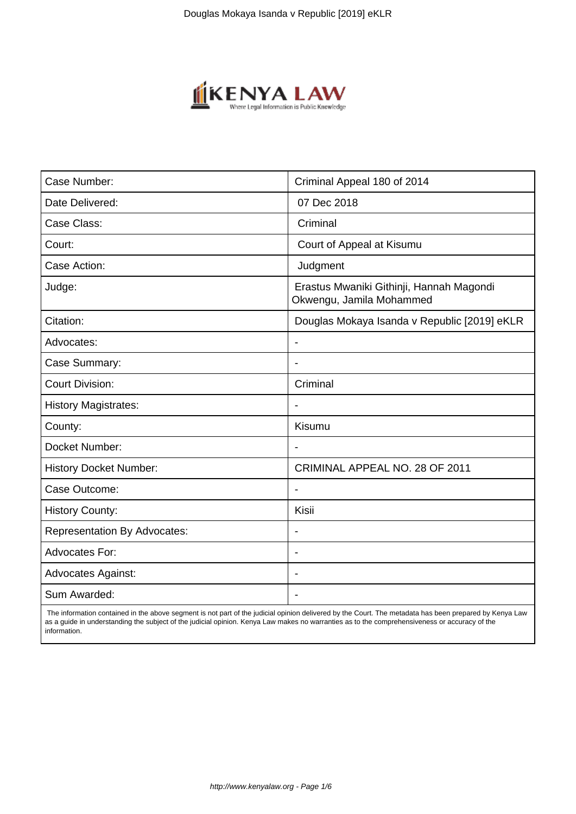

| Case Number:                        | Criminal Appeal 180 of 2014                                          |
|-------------------------------------|----------------------------------------------------------------------|
| Date Delivered:                     | 07 Dec 2018                                                          |
| Case Class:                         | Criminal                                                             |
| Court:                              | Court of Appeal at Kisumu                                            |
| Case Action:                        | Judgment                                                             |
| Judge:                              | Erastus Mwaniki Githinji, Hannah Magondi<br>Okwengu, Jamila Mohammed |
| Citation:                           | Douglas Mokaya Isanda v Republic [2019] eKLR                         |
| Advocates:                          |                                                                      |
| Case Summary:                       |                                                                      |
| <b>Court Division:</b>              | Criminal                                                             |
| <b>History Magistrates:</b>         | $\blacksquare$                                                       |
| County:                             | Kisumu                                                               |
| Docket Number:                      |                                                                      |
| <b>History Docket Number:</b>       | CRIMINAL APPEAL NO. 28 OF 2011                                       |
| Case Outcome:                       |                                                                      |
| <b>History County:</b>              | Kisii                                                                |
| <b>Representation By Advocates:</b> | $\qquad \qquad \blacksquare$                                         |
| Advocates For:                      |                                                                      |
| <b>Advocates Against:</b>           |                                                                      |
| Sum Awarded:                        |                                                                      |

 The information contained in the above segment is not part of the judicial opinion delivered by the Court. The metadata has been prepared by Kenya Law as a guide in understanding the subject of the judicial opinion. Kenya Law makes no warranties as to the comprehensiveness or accuracy of the information.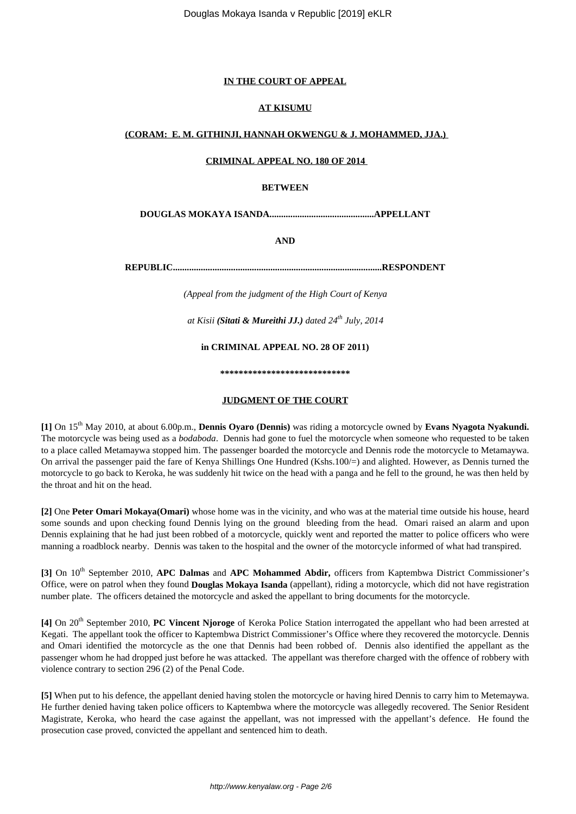# **IN THE COURT OF APPEAL**

## **AT KISUMU**

## **(CORAM: E. M. GITHINJI, HANNAH OKWENGU & J. MOHAMMED, JJA.)**

#### **CRIMINAL APPEAL NO. 180 OF 2014**

### **BETWEEN**

**DOUGLAS MOKAYA ISANDA.............................................APPELLANT**

**AND**

**REPUBLIC..........................................................................................RESPONDENT**

*(Appeal from the judgment of the High Court of Kenya*

*at Kisii (Sitati & Mureithi JJ.) dated 24th July, 2014*

**in CRIMINAL APPEAL NO. 28 OF 2011)**

**\*\*\*\*\*\*\*\*\*\*\*\*\*\*\*\*\*\*\*\*\*\*\*\*\*\*\*\***

## **JUDGMENT OF THE COURT**

**[1]** On 15th May 2010, at about 6.00p.m., **Dennis Oyaro (Dennis)** was riding a motorcycle owned by **Evans Nyagota Nyakundi.** The motorcycle was being used as a *bodaboda*. Dennis had gone to fuel the motorcycle when someone who requested to be taken to a place called Metamaywa stopped him. The passenger boarded the motorcycle and Dennis rode the motorcycle to Metamaywa. On arrival the passenger paid the fare of Kenya Shillings One Hundred (Kshs.100/=) and alighted. However, as Dennis turned the motorcycle to go back to Keroka, he was suddenly hit twice on the head with a panga and he fell to the ground, he was then held by the throat and hit on the head.

**[2]** One **Peter Omari Mokaya(Omari)** whose home was in the vicinity, and who was at the material time outside his house, heard some sounds and upon checking found Dennis lying on the ground bleeding from the head. Omari raised an alarm and upon Dennis explaining that he had just been robbed of a motorcycle, quickly went and reported the matter to police officers who were manning a roadblock nearby. Dennis was taken to the hospital and the owner of the motorcycle informed of what had transpired.

**[3]** On 10th September 2010, **APC Dalmas** and **APC Mohammed Abdir,** officers from Kaptembwa District Commissioner's Office, were on patrol when they found **Douglas Mokaya Isanda** (appellant), riding a motorcycle, which did not have registration number plate. The officers detained the motorcycle and asked the appellant to bring documents for the motorcycle.

**[4]** On 20th September 2010, **PC Vincent Njoroge** of Keroka Police Station interrogated the appellant who had been arrested at Kegati. The appellant took the officer to Kaptembwa District Commissioner's Office where they recovered the motorcycle. Dennis and Omari identified the motorcycle as the one that Dennis had been robbed of. Dennis also identified the appellant as the passenger whom he had dropped just before he was attacked. The appellant was therefore charged with the offence of robbery with violence contrary to section 296 (2) of the Penal Code.

**[5]** When put to his defence, the appellant denied having stolen the motorcycle or having hired Dennis to carry him to Metemaywa. He further denied having taken police officers to Kaptembwa where the motorcycle was allegedly recovered. The Senior Resident Magistrate, Keroka, who heard the case against the appellant, was not impressed with the appellant's defence. He found the prosecution case proved, convicted the appellant and sentenced him to death.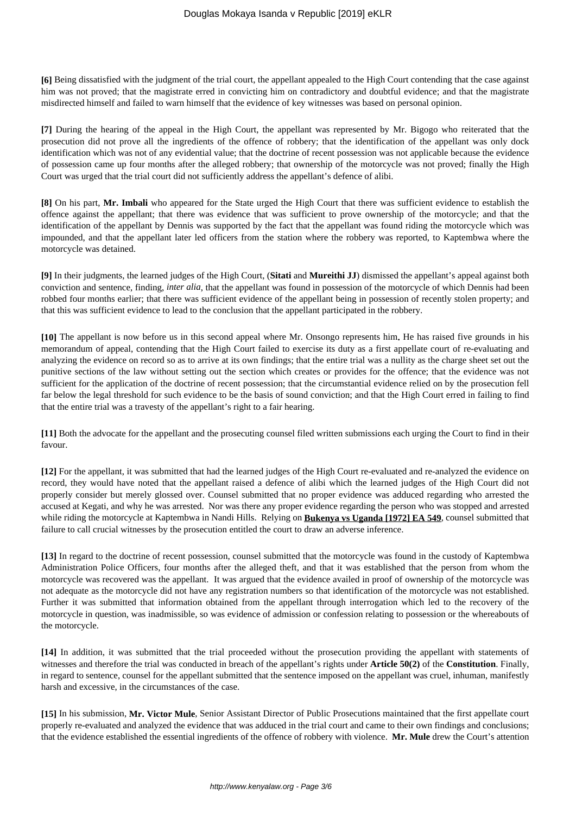**[6]** Being dissatisfied with the judgment of the trial court, the appellant appealed to the High Court contending that the case against him was not proved; that the magistrate erred in convicting him on contradictory and doubtful evidence; and that the magistrate misdirected himself and failed to warn himself that the evidence of key witnesses was based on personal opinion.

**[7]** During the hearing of the appeal in the High Court, the appellant was represented by Mr. Bigogo who reiterated that the prosecution did not prove all the ingredients of the offence of robbery; that the identification of the appellant was only dock identification which was not of any evidential value; that the doctrine of recent possession was not applicable because the evidence of possession came up four months after the alleged robbery; that ownership of the motorcycle was not proved; finally the High Court was urged that the trial court did not sufficiently address the appellant's defence of alibi.

**[8]** On his part, **Mr. Imbali** who appeared for the State urged the High Court that there was sufficient evidence to establish the offence against the appellant; that there was evidence that was sufficient to prove ownership of the motorcycle; and that the identification of the appellant by Dennis was supported by the fact that the appellant was found riding the motorcycle which was impounded, and that the appellant later led officers from the station where the robbery was reported, to Kaptembwa where the motorcycle was detained.

**[9]** In their judgments, the learned judges of the High Court, (**Sitati** and **Mureithi JJ**) dismissed the appellant's appeal against both conviction and sentence, finding, *inter alia*, that the appellant was found in possession of the motorcycle of which Dennis had been robbed four months earlier; that there was sufficient evidence of the appellant being in possession of recently stolen property; and that this was sufficient evidence to lead to the conclusion that the appellant participated in the robbery.

**[10]** The appellant is now before us in this second appeal where Mr. Onsongo represents him**.** He has raised five grounds in his memorandum of appeal, contending that the High Court failed to exercise its duty as a first appellate court of re-evaluating and analyzing the evidence on record so as to arrive at its own findings; that the entire trial was a nullity as the charge sheet set out the punitive sections of the law without setting out the section which creates or provides for the offence; that the evidence was not sufficient for the application of the doctrine of recent possession; that the circumstantial evidence relied on by the prosecution fell far below the legal threshold for such evidence to be the basis of sound conviction; and that the High Court erred in failing to find that the entire trial was a travesty of the appellant's right to a fair hearing.

**[11]** Both the advocate for the appellant and the prosecuting counsel filed written submissions each urging the Court to find in their favour.

**[12]** For the appellant, it was submitted that had the learned judges of the High Court re-evaluated and re-analyzed the evidence on record, they would have noted that the appellant raised a defence of alibi which the learned judges of the High Court did not properly consider but merely glossed over. Counsel submitted that no proper evidence was adduced regarding who arrested the accused at Kegati, and why he was arrested. Nor was there any proper evidence regarding the person who was stopped and arrested while riding the motorcycle at Kaptembwa in Nandi Hills. Relying on **Bukenya vs Uganda [1972] EA 549**, counsel submitted that failure to call crucial witnesses by the prosecution entitled the court to draw an adverse inference.

**[13]** In regard to the doctrine of recent possession, counsel submitted that the motorcycle was found in the custody of Kaptembwa Administration Police Officers, four months after the alleged theft, and that it was established that the person from whom the motorcycle was recovered was the appellant. It was argued that the evidence availed in proof of ownership of the motorcycle was not adequate as the motorcycle did not have any registration numbers so that identification of the motorcycle was not established. Further it was submitted that information obtained from the appellant through interrogation which led to the recovery of the motorcycle in question, was inadmissible, so was evidence of admission or confession relating to possession or the whereabouts of the motorcycle.

**[14]** In addition, it was submitted that the trial proceeded without the prosecution providing the appellant with statements of witnesses and therefore the trial was conducted in breach of the appellant's rights under **Article 50(2)** of the **Constitution**. Finally, in regard to sentence, counsel for the appellant submitted that the sentence imposed on the appellant was cruel, inhuman, manifestly harsh and excessive, in the circumstances of the case.

**[15]** In his submission, **Mr. Victor Mule**, Senior Assistant Director of Public Prosecutions maintained that the first appellate court properly re-evaluated and analyzed the evidence that was adduced in the trial court and came to their own findings and conclusions; that the evidence established the essential ingredients of the offence of robbery with violence. **Mr. Mule** drew the Court's attention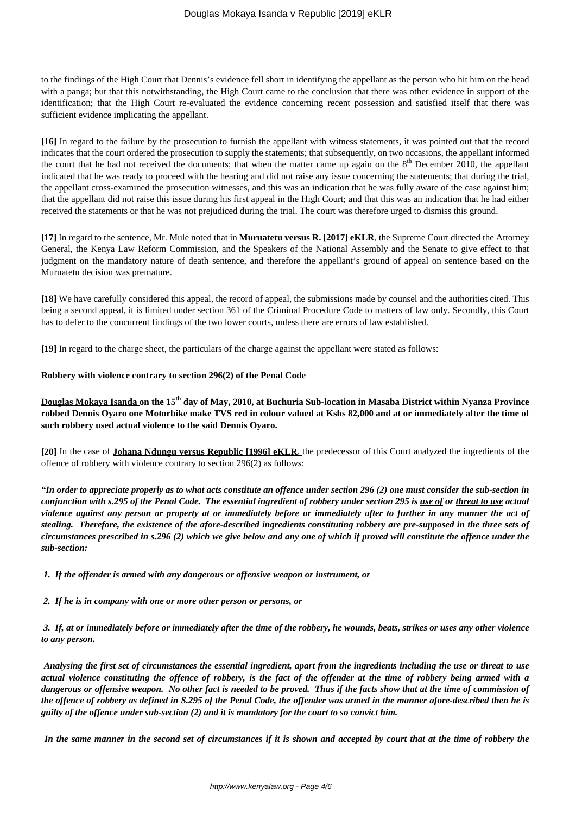to the findings of the High Court that Dennis's evidence fell short in identifying the appellant as the person who hit him on the head with a panga; but that this notwithstanding, the High Court came to the conclusion that there was other evidence in support of the identification; that the High Court re-evaluated the evidence concerning recent possession and satisfied itself that there was sufficient evidence implicating the appellant.

**[16]** In regard to the failure by the prosecution to furnish the appellant with witness statements, it was pointed out that the record indicates that the court ordered the prosecution to supply the statements; that subsequently, on two occasions, the appellant informed the court that he had not received the documents; that when the matter came up again on the  $8<sup>th</sup>$  December 2010, the appellant indicated that he was ready to proceed with the hearing and did not raise any issue concerning the statements; that during the trial, the appellant cross-examined the prosecution witnesses, and this was an indication that he was fully aware of the case against him; that the appellant did not raise this issue during his first appeal in the High Court; and that this was an indication that he had either received the statements or that he was not prejudiced during the trial. The court was therefore urged to dismiss this ground.

**[17]** In regard to the sentence, Mr. Mule noted that in **Muruatetu versus R. [2017] eKLR**, the Supreme Court directed the Attorney General, the Kenya Law Reform Commission, and the Speakers of the National Assembly and the Senate to give effect to that judgment on the mandatory nature of death sentence, and therefore the appellant's ground of appeal on sentence based on the Muruatetu decision was premature.

**[18]** We have carefully considered this appeal, the record of appeal, the submissions made by counsel and the authorities cited. This being a second appeal, it is limited under section 361 of the Criminal Procedure Code to matters of law only. Secondly, this Court has to defer to the concurrent findings of the two lower courts, unless there are errors of law established.

**[19]** In regard to the charge sheet, the particulars of the charge against the appellant were stated as follows:

## **Robbery with violence contrary to section 296(2) of the Penal Code**

**Douglas Mokaya Isanda on the 15th day of May, 2010, at Buchuria Sub-location in Masaba District within Nyanza Province robbed Dennis Oyaro one Motorbike make TVS red in colour valued at Kshs 82,000 and at or immediately after the time of such robbery used actual violence to the said Dennis Oyaro.** 

**[20]** In the case of **Johana Ndungu versus Republic [1996] eKLR**, the predecessor of this Court analyzed the ingredients of the offence of robbery with violence contrary to section 296(2) as follows:

*"In order to appreciate properly as to what acts constitute an offence under section 296 (2) one must consider the sub-section in conjunction with s.295 of the Penal Code. The essential ingredient of robbery under section 295 is use of or threat to use actual violence against any person or property at or immediately before or immediately after to further in any manner the act of stealing. Therefore, the existence of the afore-described ingredients constituting robbery are pre-supposed in the three sets of circumstances prescribed in s.296 (2) which we give below and any one of which if proved will constitute the offence under the sub-section:*

*1. If the offender is armed with any dangerous or offensive weapon or instrument, or*

*2. If he is in company with one or more other person or persons, or*

*3. If, at or immediately before or immediately after the time of the robbery, he wounds, beats, strikes or uses any other violence to any person.*

*Analysing the first set of circumstances the essential ingredient, apart from the ingredients including the use or threat to use actual violence constituting the offence of robbery, is the fact of the offender at the time of robbery being armed with a dangerous or offensive weapon. No other fact is needed to be proved. Thus if the facts show that at the time of commission of the offence of robbery as defined in S.295 of the Penal Code, the offender was armed in the manner afore-described then he is guilty of the offence under sub-section (2) and it is mandatory for the court to so convict him.*

*In the same manner in the second set of circumstances if it is shown and accepted by court that at the time of robbery the*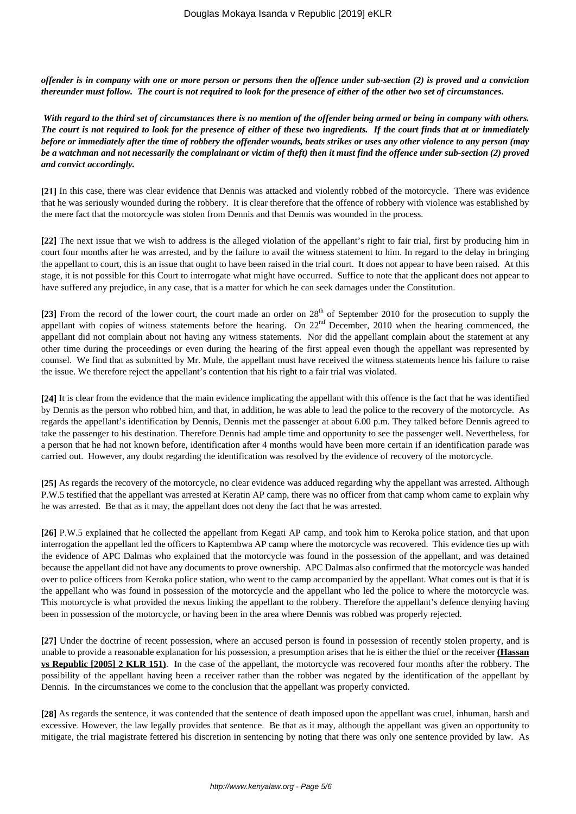*offender is in company with one or more person or persons then the offence under sub-section (2) is proved and a conviction thereunder must follow. The court is not required to look for the presence of either of the other two set of circumstances.*

*With regard to the third set of circumstances there is no mention of the offender being armed or being in company with others. The court is not required to look for the presence of either of these two ingredients. If the court finds that at or immediately before or immediately after the time of robbery the offender wounds, beats strikes or uses any other violence to any person (may be a watchman and not necessarily the complainant or victim of theft) then it must find the offence under sub-section (2) proved and convict accordingly.*

**[21]** In this case, there was clear evidence that Dennis was attacked and violently robbed of the motorcycle. There was evidence that he was seriously wounded during the robbery. It is clear therefore that the offence of robbery with violence was established by the mere fact that the motorcycle was stolen from Dennis and that Dennis was wounded in the process.

**[22]** The next issue that we wish to address is the alleged violation of the appellant's right to fair trial, first by producing him in court four months after he was arrested, and by the failure to avail the witness statement to him. In regard to the delay in bringing the appellant to court, this is an issue that ought to have been raised in the trial court. It does not appear to have been raised. At this stage, it is not possible for this Court to interrogate what might have occurred. Suffice to note that the applicant does not appear to have suffered any prejudice, in any case, that is a matter for which he can seek damages under the Constitution.

[23] From the record of the lower court, the court made an order on 28<sup>th</sup> of September 2010 for the prosecution to supply the appellant with copies of witness statements before the hearing. On  $22<sup>nd</sup>$  December, 2010 when the hearing commenced, the appellant did not complain about not having any witness statements. Nor did the appellant complain about the statement at any other time during the proceedings or even during the hearing of the first appeal even though the appellant was represented by counsel. We find that as submitted by Mr. Mule, the appellant must have received the witness statements hence his failure to raise the issue. We therefore reject the appellant's contention that his right to a fair trial was violated.

**[24]** It is clear from the evidence that the main evidence implicating the appellant with this offence is the fact that he was identified by Dennis as the person who robbed him, and that, in addition, he was able to lead the police to the recovery of the motorcycle. As regards the appellant's identification by Dennis, Dennis met the passenger at about 6.00 p.m. They talked before Dennis agreed to take the passenger to his destination. Therefore Dennis had ample time and opportunity to see the passenger well. Nevertheless, for a person that he had not known before, identification after 4 months would have been more certain if an identification parade was carried out. However, any doubt regarding the identification was resolved by the evidence of recovery of the motorcycle.

**[25]** As regards the recovery of the motorcycle, no clear evidence was adduced regarding why the appellant was arrested. Although P.W.5 testified that the appellant was arrested at Keratin AP camp, there was no officer from that camp whom came to explain why he was arrested. Be that as it may, the appellant does not deny the fact that he was arrested.

**[26]** P.W.5 explained that he collected the appellant from Kegati AP camp, and took him to Keroka police station, and that upon interrogation the appellant led the officers to Kaptembwa AP camp where the motorcycle was recovered. This evidence ties up with the evidence of APC Dalmas who explained that the motorcycle was found in the possession of the appellant, and was detained because the appellant did not have any documents to prove ownership. APC Dalmas also confirmed that the motorcycle was handed over to police officers from Keroka police station, who went to the camp accompanied by the appellant. What comes out is that it is the appellant who was found in possession of the motorcycle and the appellant who led the police to where the motorcycle was. This motorcycle is what provided the nexus linking the appellant to the robbery. Therefore the appellant's defence denying having been in possession of the motorcycle, or having been in the area where Dennis was robbed was properly rejected.

**[27]** Under the doctrine of recent possession, where an accused person is found in possession of recently stolen property, and is unable to provide a reasonable explanation for his possession, a presumption arises that he is either the thief or the receiver **(Hassan vs Republic [2005] 2 KLR 151)**. In the case of the appellant, the motorcycle was recovered four months after the robbery. The possibility of the appellant having been a receiver rather than the robber was negated by the identification of the appellant by Dennis. In the circumstances we come to the conclusion that the appellant was properly convicted.

**[28]** As regards the sentence, it was contended that the sentence of death imposed upon the appellant was cruel, inhuman, harsh and excessive. However, the law legally provides that sentence. Be that as it may, although the appellant was given an opportunity to mitigate, the trial magistrate fettered his discretion in sentencing by noting that there was only one sentence provided by law. As